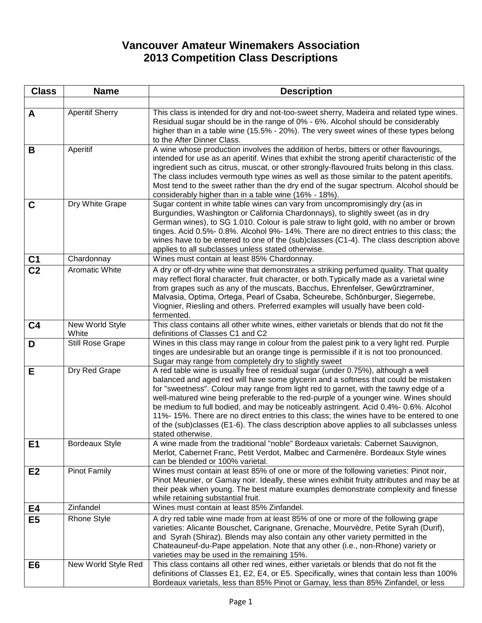## **Vancouver Amateur Winemakers Association 2013 Competition Class Descriptions**

| <b>Class</b>           | <b>Name</b>              | <b>Description</b>                                                                                                                                                                                                                                                                                                                                                                                                                                                                                                                                                                                                                                          |
|------------------------|--------------------------|-------------------------------------------------------------------------------------------------------------------------------------------------------------------------------------------------------------------------------------------------------------------------------------------------------------------------------------------------------------------------------------------------------------------------------------------------------------------------------------------------------------------------------------------------------------------------------------------------------------------------------------------------------------|
|                        |                          |                                                                                                                                                                                                                                                                                                                                                                                                                                                                                                                                                                                                                                                             |
| A                      | <b>Aperitif Sherry</b>   | This class is intended for dry and not-too-sweet sherry, Madeira and related type wines.<br>Residual sugar should be in the range of 0% - 6%. Alcohol should be considerably<br>higher than in a table wine (15.5% - 20%). The very sweet wines of these types belong<br>to the After Dinner Class.                                                                                                                                                                                                                                                                                                                                                         |
| B                      | Aperitif                 | A wine whose production involves the addition of herbs, bitters or other flavourings,<br>intended for use as an aperitif. Wines that exhibit the strong aperitif characteristic of the<br>ingredient such as citrus, muscat, or other strongly-flavoured fruits belong in this class.<br>The class includes vermouth type wines as well as those similar to the patent aperitifs.<br>Most tend to the sweet rather than the dry end of the sugar spectrum. Alcohol should be<br>considerably higher than in a table wine (16% - 18%).                                                                                                                       |
| $\mathbf c$            | Dry White Grape          | Sugar content in white table wines can vary from uncompromisingly dry (as in<br>Burgundies, Washington or California Chardonnays), to slightly sweet (as in dry<br>German wines), to SG 1.010. Colour is pale straw to light gold, with no amber or brown<br>tinges. Acid 0.5%- 0.8%. Alcohol 9%- 14%. There are no direct entries to this class; the<br>wines have to be entered to one of the (sub)classes (C1-4). The class description above<br>applies to all subclasses unless stated otherwise.                                                                                                                                                      |
| C <sub>1</sub>         | Chardonnay               | Wines must contain at least 85% Chardonnay.                                                                                                                                                                                                                                                                                                                                                                                                                                                                                                                                                                                                                 |
| $\overline{\text{C2}}$ | Aromatic White           | A dry or off-dry white wine that demonstrates a striking perfumed quality. That quality<br>may reflect floral character, fruit character, or both. Typically made as a varietal wine<br>from grapes such as any of the muscats, Bacchus, Ehrenfelser, Gewürztraminer,<br>Malvasia, Optima, Ortega, Pearl of Csaba, Scheurebe, Schönburger, Siegerrebe,<br>Viognier, Riesling and others. Preferred examples will usually have been cold-<br>fermented.                                                                                                                                                                                                      |
| C <sub>4</sub>         | New World Style<br>White | This class contains all other white wines, either varietals or blends that do not fit the<br>definitions of Classes C1 and C2                                                                                                                                                                                                                                                                                                                                                                                                                                                                                                                               |
| D                      | Still Rose Grape         | Wines in this class may range in colour from the palest pink to a very light red. Purple<br>tinges are undesirable but an orange tinge is permissible if it is not too pronounced.<br>Sugar may range from completely dry to slightly sweet                                                                                                                                                                                                                                                                                                                                                                                                                 |
| E                      | Dry Red Grape            | A red table wine is usually free of residual sugar (under 0.75%), although a well<br>balanced and aged red will have some glycerin and a softness that could be mistaken<br>for "sweetness". Colour may range from light red to garnet, with the tawny edge of a<br>well-matured wine being preferable to the red-purple of a younger wine. Wines should<br>be medium to full bodied, and may be noticeably astringent. Acid 0.4%-0.6%. Alcohol<br>11%-15%. There are no direct entries to this class; the wines have to be entered to one<br>of the (sub)classes (E1-6). The class description above applies to all subclasses unless<br>stated otherwise. |
| E1                     | <b>Bordeaux Style</b>    | A wine made from the traditional "noble" Bordeaux varietals: Cabernet Sauvignon,<br>Merlot, Cabernet Franc, Petit Verdot, Malbec and Carmenère. Bordeaux Style wines<br>can be blended or 100% varietal.                                                                                                                                                                                                                                                                                                                                                                                                                                                    |
| E2                     | <b>Pinot Family</b>      | Wines must contain at least 85% of one or more of the following varieties: Pinot noir,<br>Pinot Meunier, or Gamay noir. Ideally, these wines exhibit fruity attributes and may be at<br>their peak when young. The best mature examples demonstrate complexity and finesse<br>while retaining substantial fruit.                                                                                                                                                                                                                                                                                                                                            |
| E4                     | Zinfandel                | Wines must contain at least 85% Zinfandel.                                                                                                                                                                                                                                                                                                                                                                                                                                                                                                                                                                                                                  |
| E <sub>5</sub>         | <b>Rhone Style</b>       | A dry red table wine made from at least 85% of one or more of the following grape<br>varieties: Alicante Bouschet, Carignane, Grenache, Mourvèdre, Petite Syrah (Durif),<br>and Syrah (Shiraz). Blends may also contain any other variety permitted in the<br>Chateauneuf-du-Pape appelation. Note that any other (i.e., non-Rhone) variety or<br>varieties may be used in the remaining 15%.                                                                                                                                                                                                                                                               |
| E <sub>6</sub>         | New World Style Red      | This class contains all other red wines, either varietals or blends that do not fit the<br>definitions of Classes E1, E2, E4, or E5. Specifically, wines that contain less than 100%<br>Bordeaux varietals, less than 85% Pinot or Gamay, less than 85% Zinfandel, or less                                                                                                                                                                                                                                                                                                                                                                                  |